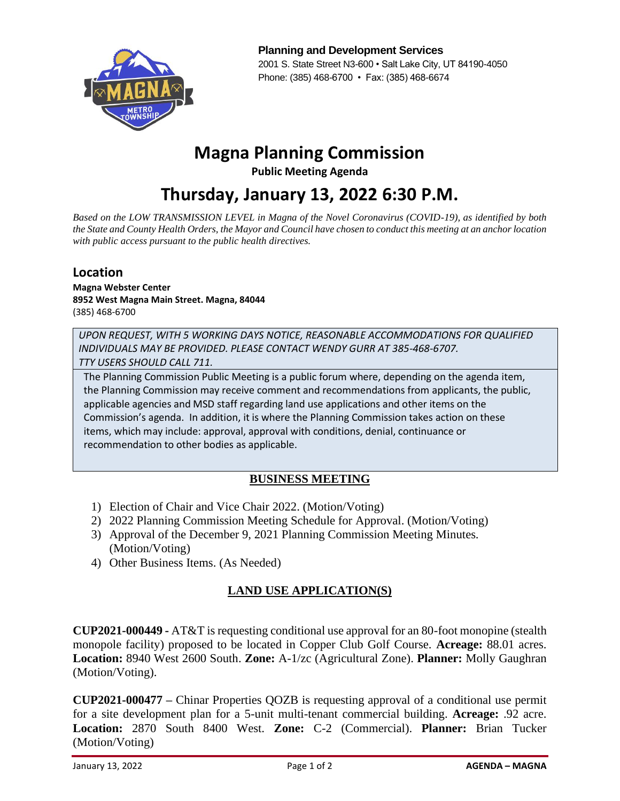

**Planning and Development Services** 2001 S. State Street N3-600 • Salt Lake City, UT 84190-4050 Phone: (385) 468-6700 • Fax: (385) 468-6674

# **Magna Planning Commission**

**Public Meeting Agenda**

**Thursday, January 13, 2022 6:30 P.M.**

*Based on the LOW TRANSMISSION LEVEL in Magna of the Novel Coronavirus (COVID-19), as identified by both the State and County Health Orders, the Mayor and Council have chosen to conduct this meeting at an anchor location with public access pursuant to the public health directives.* 

#### **Location**

**Magna Webster Center 8952 West Magna Main Street. Magna, 84044** (385) 468-6700

*UPON REQUEST, WITH 5 WORKING DAYS NOTICE, REASONABLE ACCOMMODATIONS FOR QUALIFIED INDIVIDUALS MAY BE PROVIDED. PLEASE CONTACT WENDY GURR AT 385-468-6707. TTY USERS SHOULD CALL 711.*

The Planning Commission Public Meeting is a public forum where, depending on the agenda item, the Planning Commission may receive comment and recommendations from applicants, the public, applicable agencies and MSD staff regarding land use applications and other items on the Commission's agenda. In addition, it is where the Planning Commission takes action on these items, which may include: approval, approval with conditions, denial, continuance or recommendation to other bodies as applicable.

#### **BUSINESS MEETING**

- 1) Election of Chair and Vice Chair 2022. (Motion/Voting)
- 2) 2022 Planning Commission Meeting Schedule for Approval. (Motion/Voting)
- 3) Approval of the December 9, 2021 Planning Commission Meeting Minutes. (Motion/Voting)
- 4) Other Business Items. (As Needed)

## **LAND USE APPLICATION(S)**

**CUP2021-000449 -** AT&T is requesting conditional use approval for an 80-foot monopine (stealth monopole facility) proposed to be located in Copper Club Golf Course. **Acreage:** 88.01 acres. **Location:** 8940 West 2600 South. **Zone:** A-1/zc (Agricultural Zone). **Planner:** Molly Gaughran (Motion/Voting).

**CUP2021-000477 –** Chinar Properties QOZB is requesting approval of a conditional use permit for a site development plan for a 5-unit multi-tenant commercial building. **Acreage:** .92 acre. **Location:** 2870 South 8400 West. **Zone:** C-2 (Commercial). **Planner:** Brian Tucker (Motion/Voting)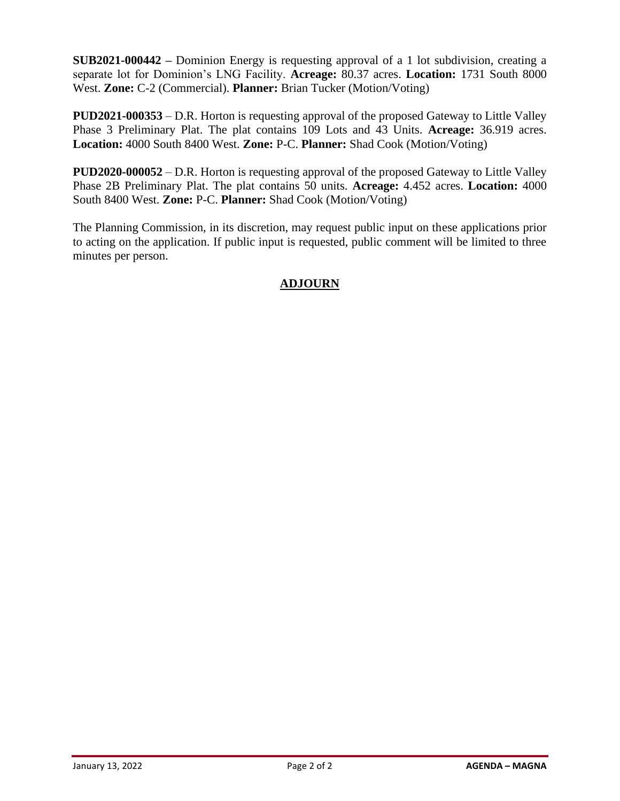**SUB2021-000442 –** Dominion Energy is requesting approval of a 1 lot subdivision, creating a separate lot for Dominion's LNG Facility. **Acreage:** 80.37 acres. **Location:** 1731 South 8000 West. **Zone:** C-2 (Commercial). **Planner:** Brian Tucker (Motion/Voting)

**PUD2021-000353** – D.R. Horton is requesting approval of the proposed Gateway to Little Valley Phase 3 Preliminary Plat. The plat contains 109 Lots and 43 Units. **Acreage:** 36.919 acres. **Location:** 4000 South 8400 West. **Zone:** P-C. **Planner:** Shad Cook (Motion/Voting)

**PUD2020-000052** – D.R. Horton is requesting approval of the proposed Gateway to Little Valley Phase 2B Preliminary Plat. The plat contains 50 units. **Acreage:** 4.452 acres. **Location:** 4000 South 8400 West. **Zone:** P-C. **Planner:** Shad Cook (Motion/Voting)

The Planning Commission, in its discretion, may request public input on these applications prior to acting on the application. If public input is requested, public comment will be limited to three minutes per person.

## **ADJOURN**